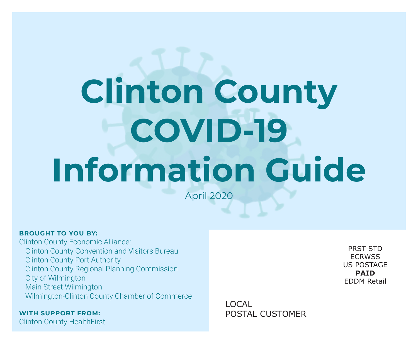# **Clinton County COVID-19 Information Guide**

April 2020

#### **BROUGHT TO YOU BY:**

Clinton County Economic Alliance: Clinton County Convention and Visitors Bureau Clinton County Port Authority Clinton County Regional Planning Commission City of Wilmington Main Street Wilmington Wilmington-Clinton County Chamber of Commerce

**WITH SUPPORT FROM:**

Clinton County HealthFirst

PRST STD **ECRWSS** US POSTAGE **PAID** EDDM Retail

LOCAL POSTAL CUSTOMER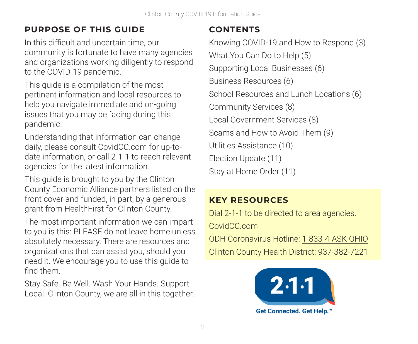## **PURPOSE OF THIS GUIDE**

In this difficult and uncertain time, our community is fortunate to have many agencies and organizations working diligently to respond to the COVID-19 pandemic.

This guide is a compilation of the most pertinent information and local resources to help you navigate immediate and on-going issues that you may be facing during this pandemic.

Understanding that information can change daily, please consult CovidCC.com for up-todate information, or call 2-1-1 to reach relevant agencies for the latest information.

This guide is brought to you by the Clinton County Economic Alliance partners listed on the front cover and funded, in part, by a generous grant from HealthFirst for Clinton County.

The most important information we can impart to you is this: PLEASE do not leave home unless absolutely necessary. There are resources and organizations that can assist you, should you need it. We encourage you to use this guide to find them.

Stay Safe. Be Well. Wash Your Hands. Support Local. Clinton County, we are all in this together.

## **CONTENTS**

Knowing COVID-19 and How to Respond (3) What You Can Do to Help (5) Supporting Local Businesses (6) Business Resources (6) School Resources and Lunch Locations (6) Community Services (8) Local Government Services (8) Scams and How to Avoid Them (9) Utilities Assistance (10) Election Update (11) Stay at Home Order (11)

## **KEY RESOURCES**

Dial 2-1-1 to be directed to area agencies. CovidCC.com ODH Coronavirus Hotline: 1-833-4-ASK-OHIO Clinton County Health District: 937-382-7221

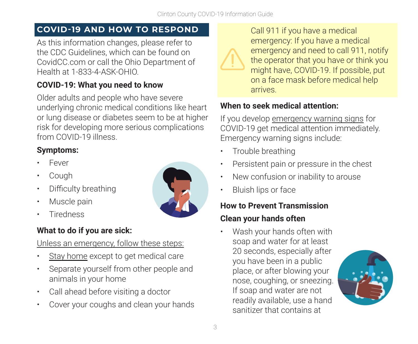#### **COVID-19 AND HOW TO RESPOND**

As this information changes, please refer to the CDC Guidelines, which can be found on CovidCC.com or call the Ohio Department of Health at 1-833-4-ASK-OHIO.

## **COVID-19: What you need to know**

Older adults and people who have severe underlying chronic medical conditions like heart or lung disease or diabetes seem to be at higher risk for developing more serious complications from COVID-19 illness.

## **Symptoms:**

- Fever
- Cough
- Difficulty breathing
- Muscle pain
- **Tiredness**

## **What to do if you are sick:**

## Unless an emergency, follow these steps:

- Stay home except to get medical care
- Separate yourself from other people and animals in your home
- Call ahead before visiting a doctor
- Cover your coughs and clean your hands





Call 911 if you have a medical emergency: If you have a medical emergency and need to call 911, notify the operator that you have or think you might have, COVID-19. If possible, put on a face mask before medical help arrives.

## **When to seek medical attention:**

If you develop emergency warning signs for COVID-19 get medical attention immediately. Emergency warning signs include:

- Trouble breathing
- Persistent pain or pressure in the chest
- New confusion or inability to arouse
- Bluish lips or face

## **How to Prevent Transmission**

## **Clean your hands often**

• Wash your hands often with soap and water for at least 20 seconds, especially after you have been in a public place, or after blowing your nose, coughing, or sneezing. If soap and water are not readily available, use a hand sanitizer that contains at

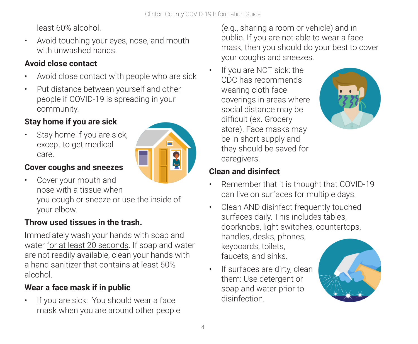least 60% alcohol.

• Avoid touching your eyes, nose, and mouth with unwashed hands.

## **Avoid close contact**

- Avoid close contact with people who are sick
- Put distance between yourself and other people if COVID-19 is spreading in your community.

## **Stay home if you are sick**

Stay home if you are sick, except to get medical care.



## **Cover coughs and sneezes**

• Cover your mouth and nose with a tissue when you cough or sneeze or use the inside of your elbow.

## **Throw used tissues in the trash.**

Immediately wash your hands with soap and water for at least 20 seconds. If soap and water are not readily available, clean your hands with a hand sanitizer that contains at least 60% alcohol.

## **Wear a face mask if in public**

• If you are sick: You should wear a face mask when you are around other people

(e.g., sharing a room or vehicle) and in public. If you are not able to wear a face mask, then you should do your best to cover your coughs and sneezes.

If you are NOT sick: the CDC has recommends wearing cloth face coverings in areas where social distance may be difficult (ex. Grocery store). Face masks may be in short supply and they should be saved for caregivers.



## **Clean and disinfect**

- Remember that it is thought that COVID-19 can live on surfaces for multiple days.
- Clean AND disinfect frequently touched surfaces daily. This includes tables, doorknobs, light switches, countertops, handles, desks, phones, keyboards, toilets, faucets, and sinks.
- If surfaces are dirty, clean them: Use detergent or soap and water prior to disinfection.

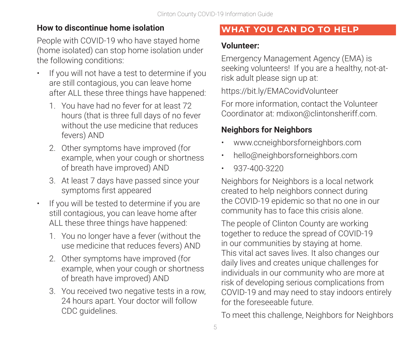## **How to discontinue home isolation**

People with COVID-19 who have stayed home (home isolated) can stop home isolation under the following conditions:

- If you will not have a test to determine if you are still contagious, you can leave home after ALL these three things have happened:
	- 1. You have had no fever for at least 72 hours (that is three full days of no fever without the use medicine that reduces fevers) AND
	- 2. Other symptoms have improved (for example, when your cough or shortness of breath have improved) AND
	- 3. At least 7 days have passed since your symptoms first appeared
- If you will be tested to determine if you are still contagious, you can leave home after ALL these three things have happened:
	- 1. You no longer have a fever (without the use medicine that reduces fevers) AND
	- 2. Other symptoms have improved (for example, when your cough or shortness of breath have improved) AND
	- 3. You received two negative tests in a row, 24 hours apart. Your doctor will follow CDC guidelines.

## **WHAT YOU CAN DO TO HELP**

#### **Volunteer:**

Emergency Management Agency (EMA) is seeking volunteers! If you are a healthy, not-atrisk adult please sign up at:

https://bit.ly/EMACovidVolunteer

For more information, contact the Volunteer Coordinator at: mdixon@clintonsheriff.com.

## **Neighbors for Neighbors**

- www.ccneighborsforneighbors.com
- hello@neighborsforneighbors.com
- 937-400-3220

Neighbors for Neighbors is a local network created to help neighbors connect during the COVID-19 epidemic so that no one in our community has to face this crisis alone.

The people of Clinton County are working together to reduce the spread of COVID-19 in our communities by staying at home. This vital act saves lives. It also changes our daily lives and creates unique challenges for individuals in our community who are more at risk of developing serious complications from COVID-19 and may need to stay indoors entirely for the foreseeable future.

To meet this challenge, Neighbors for Neighbors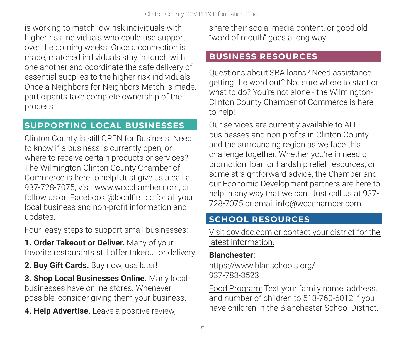is working to match low-risk individuals with higher-risk individuals who could use support over the coming weeks. Once a connection is made, matched individuals stay in touch with one another and coordinate the safe delivery of essential supplies to the higher-risk individuals. Once a Neighbors for Neighbors Match is made, participants take complete ownership of the process.

#### **SUPPORTING LOCAL BUSINESSES**

Clinton County is still OPEN for Business. Need to know if a business is currently open, or where to receive certain products or services? The Wilmington-Clinton County Chamber of Commerce is here to help! Just give us a call at 937-728-7075, visit www.wccchamber.com, or follow us on Facebook @localfirstcc for all your local business and non-profit information and updates.

Four easy steps to support small businesses:

**1. Order Takeout or Deliver.** Many of your favorite restaurants still offer takeout or delivery.

**2. Buy Gift Cards.** Buy now, use later!

**3. Shop Local Businesses Online.** Many local businesses have online stores. Whenever possible, consider giving them your business.

**4. Help Advertise.** Leave a positive review,

share their social media content, or good old "word of mouth" goes a long way.

#### **BUSINESS RESOURCES**

Questions about SBA loans? Need assistance getting the word out? Not sure where to start or what to do? You're not alone - the Wilmington-Clinton County Chamber of Commerce is here to help!

Our services are currently available to ALL businesses and non-profits in Clinton County and the surrounding region as we face this challenge together. Whether you're in need of promotion, loan or hardship relief resources, or some straightforward advice, the Chamber and our Economic Development partners are here to help in any way that we can. Just call us at 937- 728-7075 or email info@wccchamber.com.

#### **SCHOOL RESOURCES**

Visit covidcc.com or contact your district for the latest information.

#### **Blanchester:**

https://www.blanschools.org/ 937-783-3523

Food Program: Text your family name, address, and number of children to 513-760-6012 if you have children in the Blanchester School District.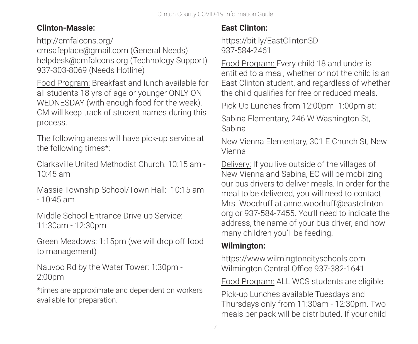## **Clinton-Massie:**

http://cmfalcons.org/

cmsafeplace@gmail.com (General Needs) helpdesk@cmfalcons.org (Technology Support) 937-303-8069 (Needs Hotline)

Food Program: Breakfast and lunch available for all students 18 yrs of age or younger ONLY ON WEDNESDAY (with enough food for the week). CM will keep track of student names during this process.

The following areas will have pick-up service at the following times\*:

Clarksville United Methodist Church: 10:15 am - 10:45 am

Massie Township School/Town Hall: 10:15 am - 10:45 am

Middle School Entrance Drive-up Service: 11:30am - 12:30pm

Green Meadows: 1:15pm (we will drop off food to management)

Nauvoo Rd by the Water Tower: 1:30pm - 2:00pm

\*times are approximate and dependent on workers available for preparation.

## **East Clinton:**

https://bit.ly/EastClintonSD 937-584-2461

Food Program: Every child 18 and under is entitled to a meal, whether or not the child is an East Clinton student, and regardless of whether the child qualifies for free or reduced meals.

Pick-Up Lunches from 12:00pm -1:00pm at:

Sabina Elementary, 246 W Washington St, Sabina

New Vienna Elementary, 301 E Church St, New Vienna

Delivery: If you live outside of the villages of New Vienna and Sabina, EC will be mobilizing our bus drivers to deliver meals. In order for the meal to be delivered, you will need to contact Mrs. Woodruff at anne.woodruff@eastclinton. org or 937-584-7455. You'll need to indicate the address, the name of your bus driver, and how many children you'll be feeding.

## **Wilmington:**

https://www.wilmingtoncityschools.com Wilmington Central Office 937-382-1641

Food Program: ALL WCS students are eligible.

Pick-up Lunches available Tuesdays and Thursdays only from 11:30am - 12:30pm. Two meals per pack will be distributed. If your child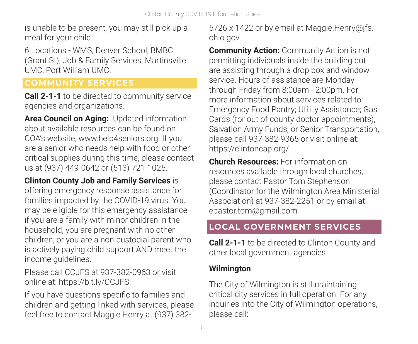is unable to be present, you may still pick up a meal for your child.

6 Locations - WMS, Denver School, BMBC (Grant St), Job & Family Services, Martinsville UMC, Port William UMC.

## **COMMUNITY SERVICES**

**Call 2-1-1** to be directed to community service agencies and organizations.

**Area Council on Aging:** Updated information about available resources can be found on COA's website, www.help4seniors.org. If you are a senior who needs help with food or other critical supplies during this time, please contact us at (937) 449-0642 or (513) 721-1025.

**Clinton County Job and Family Services** is offering emergency response assistance for families impacted by the COVID-19 virus. You may be eligible for this emergency assistance if you are a family with minor children in the household, you are pregnant with no other children, or you are a non-custodial parent who is actively paying child support AND meet the income guidelines.

Please call CCJFS at 937-382-0963 or visit online at: https://bit.ly/CCJFS.

If you have questions specific to families and children and getting linked with services, please feel free to contact Maggie Henry at (937) 3825726 x 1422 or by email at Maggie.Henry@jfs. ohio.gov.

**Community Action: Community Action is not** permitting individuals inside the building but are assisting through a drop box and window service. Hours of assistance are Monday through Friday from 8:00am - 2:00pm. For more information about services related to: Emergency Food Pantry; Utility Assistance; Gas Cards (for out of county doctor appointments); Salvation Army Funds; or Senior Transportation, please call 937-382-9365 or visit online at: https://clintoncap.org/

**Church Resources:** For information on resources available through local churches, please contact Pastor Tom Stephenson (Coordinator for the Wilmington Area Ministerial Association) at 937-382-2251 or by email at: epastor.tom@gmail.com

## **LOCAL GOVERNMENT SERVICES**

**Call 2-1-1** to be directed to Clinton County and other local government agencies.

#### **Wilmington**

The City of Wilmington is still maintaining critical city services in full operation. For any inquiries into the City of Wilmington operations, please call: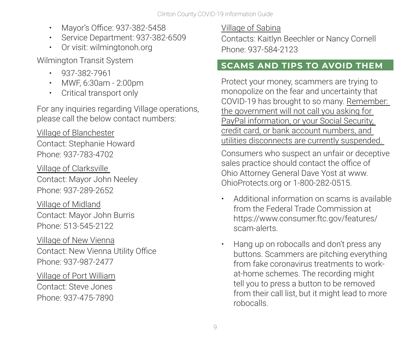- Mayor's Office: 937-382-5458
- Service Department: 937-382-6509
- Or visit: wilmingtonoh.org

Wilmington Transit System

- 937-382-7961
- MWF, 6:30am 2:00pm
- Critical transport only

For any inquiries regarding Village operations, please call the below contact numbers:

Village of Blanchester Contact: Stephanie Howard Phone: 937-783-4702

Village of Clarksville Contact: Mayor John Neeley Phone: 937-289-2652

Village of Midland Contact: Mayor John Burris Phone: 513-545-2122

Village of New Vienna Contact: New Vienna Utility Office Phone: 937-987-2477

Village of Port William Contact: Steve Jones Phone: 937-475-7890

Village of Sabina

Contacts: Kaitlyn Beechler or Nancy Cornell Phone: 937-584-2123

## **SCAMS AND TIPS TO AVOID THEM**

Protect your money, scammers are trying to monopolize on the fear and uncertainty that COVID-19 has brought to so many. Remember: the government will not call you asking for PayPal information, or your Social Security, credit card, or bank account numbers, and utilities disconnects are currently suspended.

Consumers who suspect an unfair or deceptive sales practice should contact the office of Ohio Attorney General Dave Yost at www. OhioProtects.org or 1-800-282-0515.

- Additional information on scams is available from the Federal Trade Commission at https://www.consumer.ftc.gov/features/ scam-alerts.
- Hang up on robocalls and don't press any buttons. Scammers are pitching everything from fake coronavirus treatments to workat-home schemes. The recording might tell you to press a button to be removed from their call list, but it might lead to more robocalls.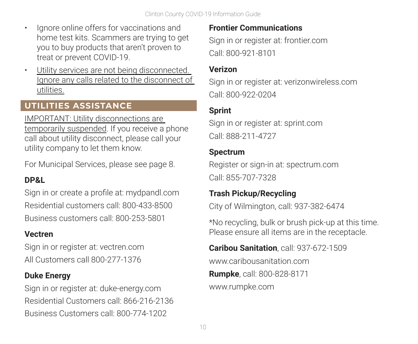- Ignore online offers for vaccinations and home test kits. Scammers are trying to get you to buy products that aren't proven to treat or prevent COVID-19.
- Utility services are not being disconnected. Ignore any calls related to the disconnect of utilities.

## **UTILITIES ASSISTANCE**

IMPORTANT: Utility disconnections are temporarily suspended. If you receive a phone call about utility disconnect, please call your utility company to let them know.

For Municipal Services, please see page 8.

## **DP&L**

Sign in or create a profile at: mydpandl.com Residential customers call: 800-433-8500 Business customers call: 800-253-5801

#### **Vectren**

Sign in or register at: vectren.com All Customers call 800-277-1376

#### **Duke Energy**

Sign in or register at: duke-energy.com Residential Customers call: 866-216-2136 Business Customers call: 800-774-1202

#### **Frontier Communications**

Sign in or register at: frontier.com Call: 800-921-8101

#### **Verizon**

Sign in or register at: verizonwireless.com Call: 800-922-0204

## **Sprint**

Sign in or register at: sprint.com Call: 888-211-4727

#### **Spectrum**

Register or sign-in at: spectrum.com Call: 855-707-7328

#### **Trash Pickup/Recycling**

City of Wilmington, call: 937-382-6474

\*No recycling, bulk or brush pick-up at this time. Please ensure all items are in the receptacle.

## **Caribou Sanitation**, call: 937-672-1509 www.caribousanitation.com **Rumpke**, call: 800-828-8171 www.rumpke.com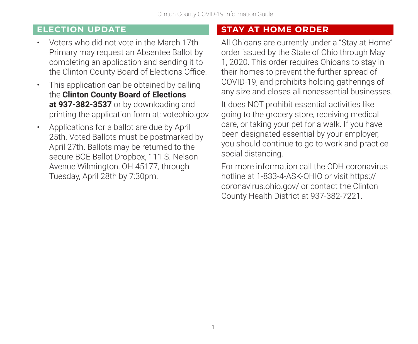#### **ELECTION UPDATE**

- Voters who did not vote in the March 17th Primary may request an Absentee Ballot by completing an application and sending it to the Clinton County Board of Elections Office.
- This application can be obtained by calling the **Clinton County Board of Elections at 937-382-3537** or by downloading and printing the application form at: voteohio.gov
- Applications for a ballot are due by April 25th. Voted Ballots must be postmarked by April 27th. Ballots may be returned to the secure BOE Ballot Dropbox, 111 S. Nelson Avenue Wilmington, OH 45177, through Tuesday, April 28th by 7:30pm.

## **STAY AT HOME ORDER**

All Ohioans are currently under a "Stay at Home" order issued by the State of Ohio through May 1, 2020. This order requires Ohioans to stay in their homes to prevent the further spread of COVID-19, and prohibits holding gatherings of any size and closes all nonessential businesses.

It does NOT prohibit essential activities like going to the grocery store, receiving medical care, or taking your pet for a walk. If you have been designated essential by your employer, you should continue to go to work and practice social distancing.

For more information call the ODH coronavirus hotline at 1-833-4-ASK-OHIO or visit https:// coronavirus.ohio.gov/ or contact the Clinton County Health District at 937-382-7221.